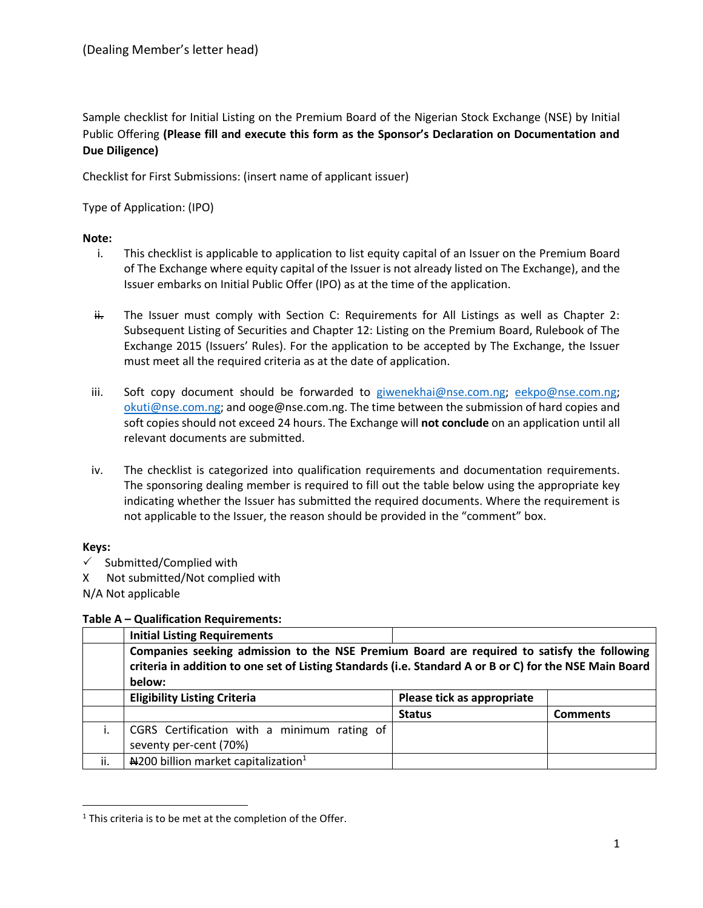Sample checklist for Initial Listing on the Premium Board of the Nigerian Stock Exchange (NSE) by Initial Public Offering **(Please fill and execute this form as the Sponsor's Declaration on Documentation and Due Diligence)**

Checklist for First Submissions: (insert name of applicant issuer)

Type of Application: (IPO)

### **Note:**

- i. This checklist is applicable to application to list equity capital of an Issuer on the Premium Board of The Exchange where equity capital of the Issuer is not already listed on The Exchange), and the Issuer embarks on Initial Public Offer (IPO) as at the time of the application.
- $\ddot{H}$ . The Issuer must comply with Section C: Requirements for All Listings as well as Chapter 2: Subsequent Listing of Securities and Chapter 12: Listing on the Premium Board, Rulebook of The Exchange 2015 (Issuers' Rules). For the application to be accepted by The Exchange, the Issuer must meet all the required criteria as at the date of application.
- iii. Soft copy document should be forwarded to [giwenekhai@nse.com.ng;](mailto:giwenekhai@nse.com.ng) [eekpo@nse.com.ng;](mailto:eekpo@nse.com.ng) [okuti@nse.com.ng;](mailto:okuti@nse.com.ng) and ooge@nse.com.ng. The time between the submission of hard copies and soft copies should not exceed 24 hours. The Exchange will **not conclude** on an application until all relevant documents are submitted.
- iv. The checklist is categorized into qualification requirements and documentation requirements. The sponsoring dealing member is required to fill out the table below using the appropriate key indicating whether the Issuer has submitted the required documents. Where the requirement is not applicable to the Issuer, the reason should be provided in the "comment" box.

### **Keys:**

- $\checkmark$  Submitted/Complied with
- X Not submitted/Not complied with

N/A Not applicable

#### **Table A – Qualification Requirements:**

|     | <b>Initial Listing Requirements</b>                                                                                                                                                                             |                            |                 |
|-----|-----------------------------------------------------------------------------------------------------------------------------------------------------------------------------------------------------------------|----------------------------|-----------------|
|     | Companies seeking admission to the NSE Premium Board are required to satisfy the following<br>criteria in addition to one set of Listing Standards (i.e. Standard A or B or C) for the NSE Main Board<br>below: |                            |                 |
|     | <b>Eligibility Listing Criteria</b>                                                                                                                                                                             | Please tick as appropriate |                 |
|     |                                                                                                                                                                                                                 | <b>Status</b>              | <b>Comments</b> |
|     | CGRS Certification with a minimum rating of                                                                                                                                                                     |                            |                 |
|     | seventy per-cent (70%)                                                                                                                                                                                          |                            |                 |
| ii. | $\mu$ 200 billion market capitalization <sup>1</sup>                                                                                                                                                            |                            |                 |

 $\overline{\phantom{a}}$  $1$  This criteria is to be met at the completion of the Offer.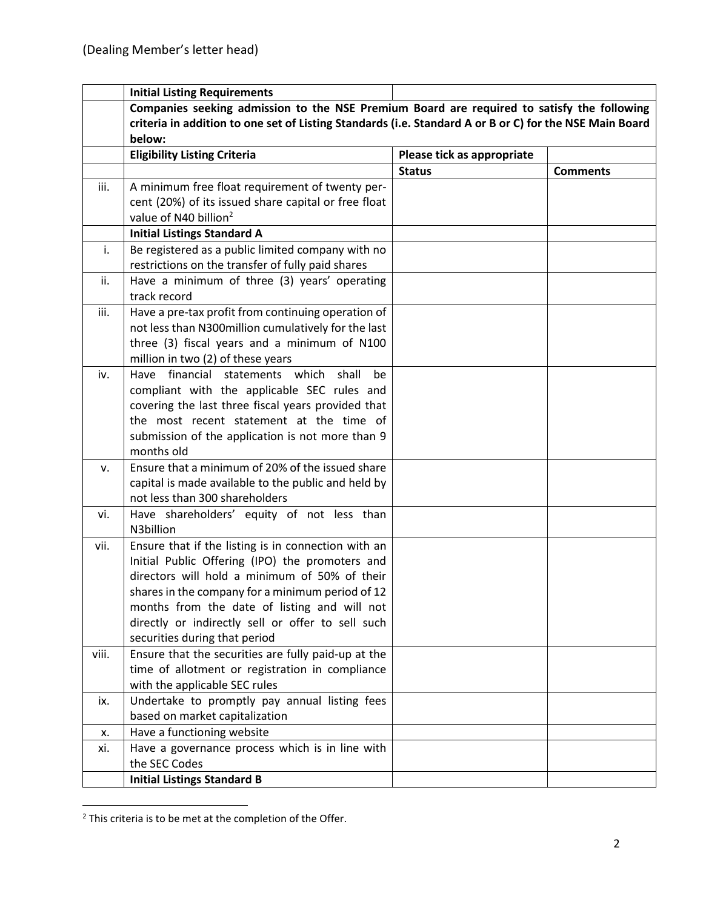|       | <b>Initial Listing Requirements</b>                                                                     |                            |                 |
|-------|---------------------------------------------------------------------------------------------------------|----------------------------|-----------------|
|       | Companies seeking admission to the NSE Premium Board are required to satisfy the following              |                            |                 |
|       | criteria in addition to one set of Listing Standards (i.e. Standard A or B or C) for the NSE Main Board |                            |                 |
|       | below:                                                                                                  |                            |                 |
|       | <b>Eligibility Listing Criteria</b>                                                                     | Please tick as appropriate |                 |
|       |                                                                                                         | <b>Status</b>              | <b>Comments</b> |
| iii.  | A minimum free float requirement of twenty per-                                                         |                            |                 |
|       | cent (20%) of its issued share capital or free float                                                    |                            |                 |
|       | value of N40 billion <sup>2</sup>                                                                       |                            |                 |
|       | <b>Initial Listings Standard A</b>                                                                      |                            |                 |
| i.    | Be registered as a public limited company with no                                                       |                            |                 |
|       | restrictions on the transfer of fully paid shares                                                       |                            |                 |
| ii.   | Have a minimum of three (3) years' operating                                                            |                            |                 |
|       | track record                                                                                            |                            |                 |
| iii.  | Have a pre-tax profit from continuing operation of                                                      |                            |                 |
|       | not less than N300million cumulatively for the last                                                     |                            |                 |
|       | three (3) fiscal years and a minimum of N100                                                            |                            |                 |
|       | million in two (2) of these years                                                                       |                            |                 |
| iv.   | Have financial statements which<br>shall<br>be<br>compliant with the applicable SEC rules and           |                            |                 |
|       | covering the last three fiscal years provided that                                                      |                            |                 |
|       | the most recent statement at the time of                                                                |                            |                 |
|       | submission of the application is not more than 9                                                        |                            |                 |
|       | months old                                                                                              |                            |                 |
| v.    | Ensure that a minimum of 20% of the issued share                                                        |                            |                 |
|       | capital is made available to the public and held by                                                     |                            |                 |
|       | not less than 300 shareholders                                                                          |                            |                 |
| vi.   | Have shareholders' equity of not less than                                                              |                            |                 |
|       | N3billion                                                                                               |                            |                 |
| vii.  | Ensure that if the listing is in connection with an                                                     |                            |                 |
|       | Initial Public Offering (IPO) the promoters and                                                         |                            |                 |
|       | directors will hold a minimum of 50% of their                                                           |                            |                 |
|       | shares in the company for a minimum period of 12                                                        |                            |                 |
|       | months from the date of listing and will not                                                            |                            |                 |
|       | directly or indirectly sell or offer to sell such                                                       |                            |                 |
|       | securities during that period                                                                           |                            |                 |
| viii. | Ensure that the securities are fully paid-up at the                                                     |                            |                 |
|       | time of allotment or registration in compliance                                                         |                            |                 |
|       | with the applicable SEC rules                                                                           |                            |                 |
| ix.   | Undertake to promptly pay annual listing fees                                                           |                            |                 |
|       | based on market capitalization                                                                          |                            |                 |
| х.    | Have a functioning website                                                                              |                            |                 |
| xi.   | Have a governance process which is in line with<br>the SEC Codes                                        |                            |                 |
|       | <b>Initial Listings Standard B</b>                                                                      |                            |                 |
|       |                                                                                                         |                            |                 |

 $\overline{\phantom{a}}$ <sup>2</sup> This criteria is to be met at the completion of the Offer.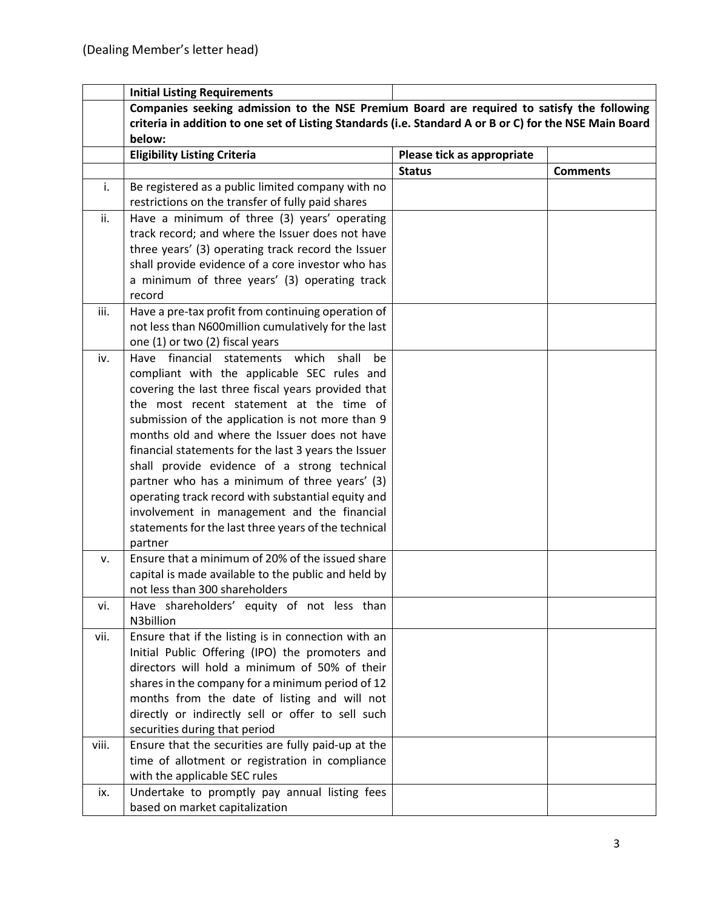|       | <b>Initial Listing Requirements</b>                                                                     |                            |                 |
|-------|---------------------------------------------------------------------------------------------------------|----------------------------|-----------------|
|       | Companies seeking admission to the NSE Premium Board are required to satisfy the following              |                            |                 |
|       | criteria in addition to one set of Listing Standards (i.e. Standard A or B or C) for the NSE Main Board |                            |                 |
|       | below:                                                                                                  |                            |                 |
|       | <b>Eligibility Listing Criteria</b>                                                                     | Please tick as appropriate |                 |
|       |                                                                                                         | <b>Status</b>              | <b>Comments</b> |
| i.    | Be registered as a public limited company with no                                                       |                            |                 |
|       | restrictions on the transfer of fully paid shares                                                       |                            |                 |
| ii.   | Have a minimum of three (3) years' operating                                                            |                            |                 |
|       | track record; and where the Issuer does not have                                                        |                            |                 |
|       | three years' (3) operating track record the Issuer                                                      |                            |                 |
|       | shall provide evidence of a core investor who has                                                       |                            |                 |
|       | a minimum of three years' (3) operating track                                                           |                            |                 |
|       | record                                                                                                  |                            |                 |
| iii.  | Have a pre-tax profit from continuing operation of                                                      |                            |                 |
|       | not less than N600million cumulatively for the last                                                     |                            |                 |
|       | one (1) or two (2) fiscal years                                                                         |                            |                 |
| iv.   | Have financial statements which<br>shall<br>be                                                          |                            |                 |
|       | compliant with the applicable SEC rules and                                                             |                            |                 |
|       | covering the last three fiscal years provided that                                                      |                            |                 |
|       | the most recent statement at the time of                                                                |                            |                 |
|       | submission of the application is not more than 9                                                        |                            |                 |
|       | months old and where the Issuer does not have                                                           |                            |                 |
|       | financial statements for the last 3 years the Issuer                                                    |                            |                 |
|       | shall provide evidence of a strong technical                                                            |                            |                 |
|       | partner who has a minimum of three years' (3)                                                           |                            |                 |
|       | operating track record with substantial equity and                                                      |                            |                 |
|       | involvement in management and the financial                                                             |                            |                 |
|       | statements for the last three years of the technical                                                    |                            |                 |
|       | partner                                                                                                 |                            |                 |
| v.    | Ensure that a minimum of 20% of the issued share                                                        |                            |                 |
|       | capital is made available to the public and held by                                                     |                            |                 |
|       | not less than 300 shareholders                                                                          |                            |                 |
| vi.   | Have shareholders' equity of not less than                                                              |                            |                 |
|       | N3billion                                                                                               |                            |                 |
| vii.  | Ensure that if the listing is in connection with an                                                     |                            |                 |
|       | Initial Public Offering (IPO) the promoters and                                                         |                            |                 |
|       | directors will hold a minimum of 50% of their                                                           |                            |                 |
|       | shares in the company for a minimum period of 12                                                        |                            |                 |
|       | months from the date of listing and will not                                                            |                            |                 |
|       | directly or indirectly sell or offer to sell such                                                       |                            |                 |
|       | securities during that period                                                                           |                            |                 |
| viii. | Ensure that the securities are fully paid-up at the                                                     |                            |                 |
|       | time of allotment or registration in compliance                                                         |                            |                 |
|       | with the applicable SEC rules                                                                           |                            |                 |
| ix.   | Undertake to promptly pay annual listing fees                                                           |                            |                 |
|       | based on market capitalization                                                                          |                            |                 |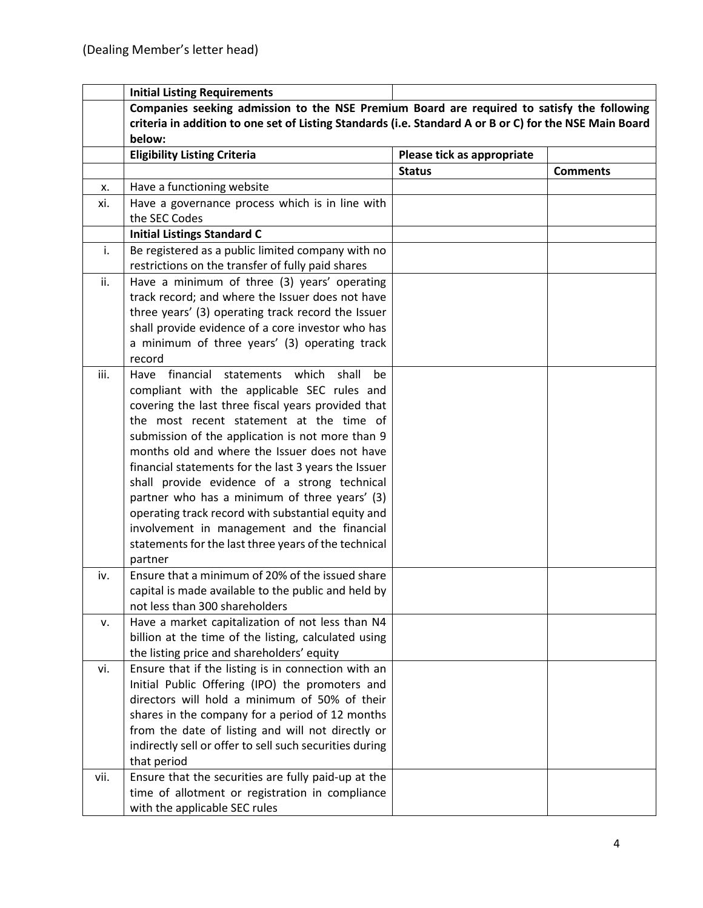|      | <b>Initial Listing Requirements</b>                                                                     |                            |                 |
|------|---------------------------------------------------------------------------------------------------------|----------------------------|-----------------|
|      | Companies seeking admission to the NSE Premium Board are required to satisfy the following              |                            |                 |
|      | criteria in addition to one set of Listing Standards (i.e. Standard A or B or C) for the NSE Main Board |                            |                 |
|      | below:                                                                                                  |                            |                 |
|      | <b>Eligibility Listing Criteria</b>                                                                     | Please tick as appropriate |                 |
|      |                                                                                                         | <b>Status</b>              | <b>Comments</b> |
| х.   | Have a functioning website                                                                              |                            |                 |
| xi.  | Have a governance process which is in line with                                                         |                            |                 |
|      | the SEC Codes                                                                                           |                            |                 |
|      | <b>Initial Listings Standard C</b>                                                                      |                            |                 |
| i.   | Be registered as a public limited company with no                                                       |                            |                 |
|      | restrictions on the transfer of fully paid shares                                                       |                            |                 |
| ii.  | Have a minimum of three (3) years' operating                                                            |                            |                 |
|      | track record; and where the Issuer does not have                                                        |                            |                 |
|      | three years' (3) operating track record the Issuer                                                      |                            |                 |
|      | shall provide evidence of a core investor who has                                                       |                            |                 |
|      | a minimum of three years' (3) operating track                                                           |                            |                 |
|      | record                                                                                                  |                            |                 |
| iii. | Have financial<br>statements which<br>shall<br>be                                                       |                            |                 |
|      | compliant with the applicable SEC rules and                                                             |                            |                 |
|      | covering the last three fiscal years provided that                                                      |                            |                 |
|      | the most recent statement at the time of                                                                |                            |                 |
|      | submission of the application is not more than 9                                                        |                            |                 |
|      | months old and where the Issuer does not have                                                           |                            |                 |
|      | financial statements for the last 3 years the Issuer                                                    |                            |                 |
|      | shall provide evidence of a strong technical                                                            |                            |                 |
|      | partner who has a minimum of three years' (3)                                                           |                            |                 |
|      | operating track record with substantial equity and                                                      |                            |                 |
|      | involvement in management and the financial                                                             |                            |                 |
|      | statements for the last three years of the technical                                                    |                            |                 |
|      | partner                                                                                                 |                            |                 |
| iv.  | Ensure that a minimum of 20% of the issued share                                                        |                            |                 |
|      | capital is made available to the public and held by                                                     |                            |                 |
|      | not less than 300 shareholders                                                                          |                            |                 |
| ν.   | Have a market capitalization of not less than N4                                                        |                            |                 |
|      | billion at the time of the listing, calculated using                                                    |                            |                 |
|      | the listing price and shareholders' equity                                                              |                            |                 |
| vi.  | Ensure that if the listing is in connection with an                                                     |                            |                 |
|      | Initial Public Offering (IPO) the promoters and                                                         |                            |                 |
|      | directors will hold a minimum of 50% of their                                                           |                            |                 |
|      | shares in the company for a period of 12 months                                                         |                            |                 |
|      | from the date of listing and will not directly or                                                       |                            |                 |
|      | indirectly sell or offer to sell such securities during                                                 |                            |                 |
|      | that period                                                                                             |                            |                 |
| vii. | Ensure that the securities are fully paid-up at the                                                     |                            |                 |
|      | time of allotment or registration in compliance                                                         |                            |                 |
|      | with the applicable SEC rules                                                                           |                            |                 |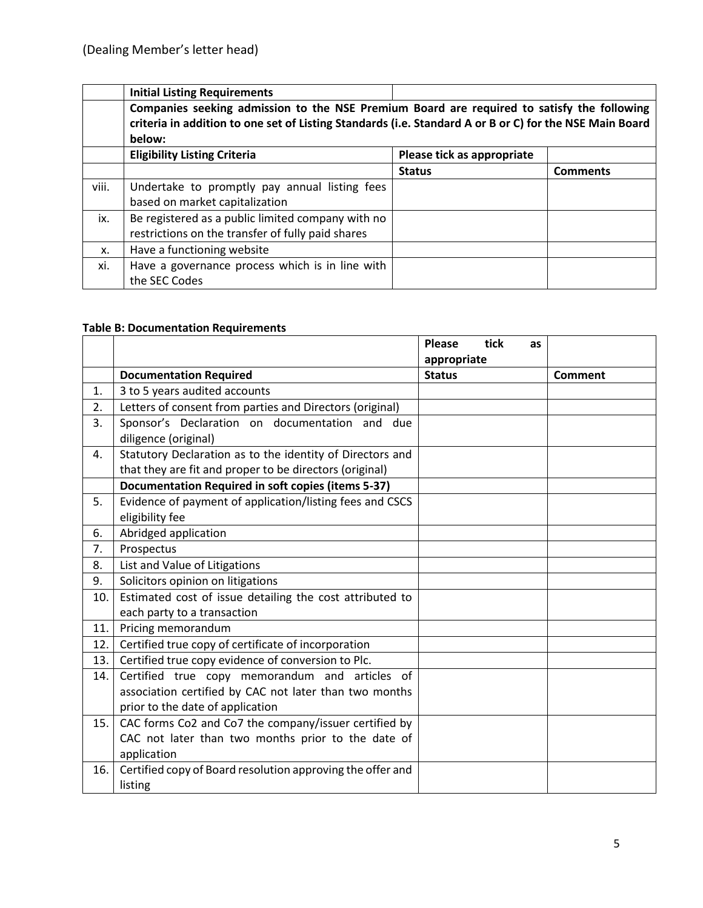|       | <b>Initial Listing Requirements</b>                                                                                                                                                                             |                            |                 |
|-------|-----------------------------------------------------------------------------------------------------------------------------------------------------------------------------------------------------------------|----------------------------|-----------------|
|       | Companies seeking admission to the NSE Premium Board are required to satisfy the following<br>criteria in addition to one set of Listing Standards (i.e. Standard A or B or C) for the NSE Main Board<br>below: |                            |                 |
|       | <b>Eligibility Listing Criteria</b>                                                                                                                                                                             | Please tick as appropriate |                 |
|       |                                                                                                                                                                                                                 | <b>Status</b>              | <b>Comments</b> |
| viii. | Undertake to promptly pay annual listing fees<br>based on market capitalization                                                                                                                                 |                            |                 |
| ix.   | Be registered as a public limited company with no<br>restrictions on the transfer of fully paid shares                                                                                                          |                            |                 |
| х.    | Have a functioning website                                                                                                                                                                                      |                            |                 |
| xi.   | Have a governance process which is in line with<br>the SEC Codes                                                                                                                                                |                            |                 |

## **Table B: Documentation Requirements**

|     |                                                            | <b>Please</b><br>tick<br><b>as</b> |                |
|-----|------------------------------------------------------------|------------------------------------|----------------|
|     |                                                            | appropriate                        |                |
|     | <b>Documentation Required</b>                              | <b>Status</b>                      | <b>Comment</b> |
| 1.  | 3 to 5 years audited accounts                              |                                    |                |
| 2.  | Letters of consent from parties and Directors (original)   |                                    |                |
| 3.  | Sponsor's Declaration on documentation and due             |                                    |                |
|     | diligence (original)                                       |                                    |                |
| 4.  | Statutory Declaration as to the identity of Directors and  |                                    |                |
|     | that they are fit and proper to be directors (original)    |                                    |                |
|     | <b>Documentation Required in soft copies (items 5-37)</b>  |                                    |                |
| 5.  | Evidence of payment of application/listing fees and CSCS   |                                    |                |
|     | eligibility fee                                            |                                    |                |
| 6.  | Abridged application                                       |                                    |                |
| 7.  | Prospectus                                                 |                                    |                |
| 8.  | List and Value of Litigations                              |                                    |                |
| 9.  | Solicitors opinion on litigations                          |                                    |                |
| 10. | Estimated cost of issue detailing the cost attributed to   |                                    |                |
|     | each party to a transaction                                |                                    |                |
| 11. | Pricing memorandum                                         |                                    |                |
| 12. | Certified true copy of certificate of incorporation        |                                    |                |
| 13. | Certified true copy evidence of conversion to Plc.         |                                    |                |
| 14. | Certified true copy memorandum and articles of             |                                    |                |
|     | association certified by CAC not later than two months     |                                    |                |
|     | prior to the date of application                           |                                    |                |
| 15. | CAC forms Co2 and Co7 the company/issuer certified by      |                                    |                |
|     | CAC not later than two months prior to the date of         |                                    |                |
|     | application                                                |                                    |                |
| 16. | Certified copy of Board resolution approving the offer and |                                    |                |
|     | listing                                                    |                                    |                |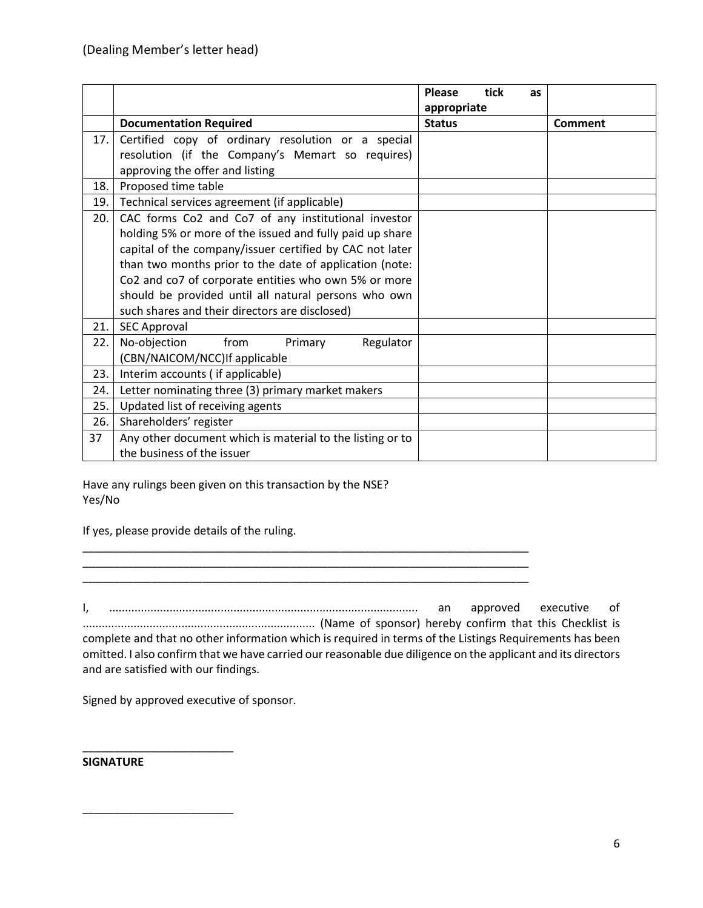|     |                                                           | tick<br><b>Please</b><br>as |                |
|-----|-----------------------------------------------------------|-----------------------------|----------------|
|     |                                                           | appropriate                 |                |
|     | <b>Documentation Required</b>                             | <b>Status</b>               | <b>Comment</b> |
| 17. | Certified copy of ordinary resolution or a special        |                             |                |
|     | resolution (if the Company's Memart so requires)          |                             |                |
|     | approving the offer and listing                           |                             |                |
| 18. | Proposed time table                                       |                             |                |
| 19. | Technical services agreement (if applicable)              |                             |                |
| 20. | CAC forms Co2 and Co7 of any institutional investor       |                             |                |
|     | holding 5% or more of the issued and fully paid up share  |                             |                |
|     | capital of the company/issuer certified by CAC not later  |                             |                |
|     | than two months prior to the date of application (note:   |                             |                |
|     | Co2 and co7 of corporate entities who own 5% or more      |                             |                |
|     | should be provided until all natural persons who own      |                             |                |
|     | such shares and their directors are disclosed)            |                             |                |
| 21. | <b>SEC Approval</b>                                       |                             |                |
| 22. | No-objection<br>from<br>Primary<br>Regulator              |                             |                |
|     | (CBN/NAICOM/NCC) If applicable                            |                             |                |
| 23. | Interim accounts (if applicable)                          |                             |                |
| 24. | Letter nominating three (3) primary market makers         |                             |                |
| 25. | Updated list of receiving agents                          |                             |                |
| 26. | Shareholders' register                                    |                             |                |
| 37  | Any other document which is material to the listing or to |                             |                |
|     | the business of the issuer                                |                             |                |

Have any rulings been given on this transaction by the NSE? Yes/No

If yes, please provide details of the ruling.

I, ................................................................................................. an approved executive of ......................................................................... (Name of sponsor) hereby confirm that this Checklist is complete and that no other information which is required in terms of the Listings Requirements has been omitted. I also confirm that we have carried our reasonable due diligence on the applicant and its directors and are satisfied with our findings.

\_\_\_\_\_\_\_\_\_\_\_\_\_\_\_\_\_\_\_\_\_\_\_\_\_\_\_\_\_\_\_\_\_\_\_\_\_\_\_\_\_\_\_\_\_\_\_\_\_\_\_\_\_\_\_\_\_\_\_\_\_\_\_\_\_\_\_\_\_\_\_

\_\_\_\_\_\_\_\_\_\_\_\_\_\_\_\_\_\_\_\_\_\_\_\_\_\_\_\_\_\_\_\_\_\_\_\_\_\_\_\_\_\_\_\_\_\_\_\_\_\_\_\_\_\_\_\_\_\_\_\_\_\_\_\_\_\_\_\_\_\_\_

Signed by approved executive of sponsor.

\_\_\_\_\_\_\_\_\_\_\_\_\_\_\_\_\_\_\_\_\_\_\_\_

\_\_\_\_\_\_\_\_\_\_\_\_\_\_\_\_\_\_\_\_\_\_\_\_

#### **SIGNATURE**